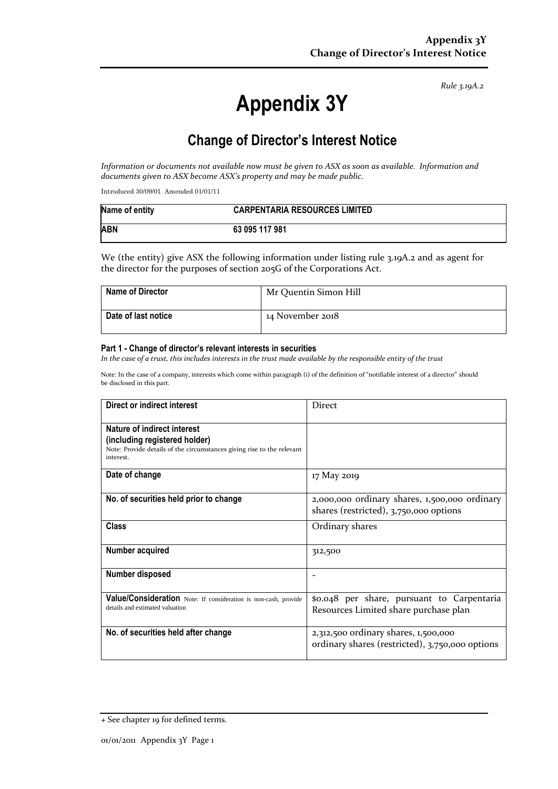*Rule 3.19A.2*

# **Appendix 3Y**

## **Change of Director's Interest Notice**

*Information or documents not available now must be given to ASX as soon as available. Information and documents given to ASX become ASX's property and may be made public.*

Introduced 30/09/01 Amended 01/01/11

| Name of entity | <b>CARPENTARIA RESOURCES LIMITED</b> |
|----------------|--------------------------------------|
| <b>ABN</b>     | 63 095 117 981                       |

We (the entity) give ASX the following information under listing rule 3.19A.2 and as agent for the director for the purposes of section 205G of the Corporations Act.

| <b>Name of Director</b> | Mr Quentin Simon Hill |
|-------------------------|-----------------------|
| Date of last notice     | 14 November 2018      |

#### **Part 1 - Change of director's relevant interests in securities**

*In the case of a trust, this includes interests in the trust made available by the responsible entity of the trust*

Note: In the case of a company, interests which come within paragraph (i) of the definition of "notifiable interest of a director" should be disclosed in this part.

| Direct or indirect interest                                                                                                                         | <b>Direct</b>                                                                           |
|-----------------------------------------------------------------------------------------------------------------------------------------------------|-----------------------------------------------------------------------------------------|
| Nature of indirect interest<br>(including registered holder)<br>Note: Provide details of the circumstances giving rise to the relevant<br>interest. |                                                                                         |
| Date of change                                                                                                                                      | 17 May 2019                                                                             |
| No. of securities held prior to change                                                                                                              | 2,000,000 ordinary shares, 1,500,000 ordinary<br>shares (restricted), 3,750,000 options |
| <b>Class</b>                                                                                                                                        | Ordinary shares                                                                         |
| Number acquired                                                                                                                                     | 312,500                                                                                 |
| Number disposed                                                                                                                                     |                                                                                         |
| Value/Consideration Note: If consideration is non-cash, provide<br>details and estimated valuation                                                  | \$0.048 per share, pursuant to Carpentaria<br>Resources Limited share purchase plan     |
| No. of securities held after change                                                                                                                 | 2,312,500 ordinary shares, 1,500,000<br>ordinary shares (restricted), 3,750,000 options |

<sup>+</sup> See chapter 19 for defined terms.